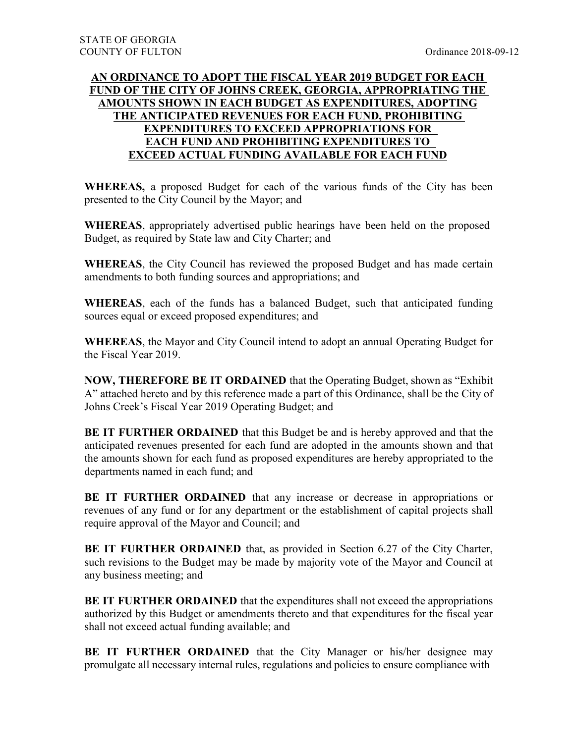### **AN ORDINANCE TO ADOPT THE FISCAL YEAR 2019 BUDGET FOR EACH FUND OF THE CITY OF JOHNS CREEK, GEORGIA, APPROPRIATING THE AMOUNTS SHOWN IN EACH BUDGET AS EXPENDITURES, ADOPTING THE ANTICIPATED REVENUES FOR EACH FUND, PROHIBITING EXPENDITURES TO EXCEED APPROPRIATIONS FOR EACH FUND AND PROHIBITING EXPENDITURES TO EXCEED ACTUAL FUNDING AVAILABLE FOR EACH FUND**

**WHEREAS,** a proposed Budget for each of the various funds of the City has been presented to the City Council by the Mayor; and

**WHEREAS**, appropriately advertised public hearings have been held on the proposed Budget, as required by State law and City Charter; and

**WHEREAS**, the City Council has reviewed the proposed Budget and has made certain amendments to both funding sources and appropriations; and

**WHEREAS**, each of the funds has a balanced Budget, such that anticipated funding sources equal or exceed proposed expenditures; and

**WHEREAS**, the Mayor and City Council intend to adopt an annual Operating Budget for the Fiscal Year 2019.

**NOW, THEREFORE BE IT ORDAINED** that the Operating Budget, shown as "Exhibit A" attached hereto and by this reference made a part of this Ordinance, shall be the City of Johns Creek's Fiscal Year 2019 Operating Budget; and

**BE IT FURTHER ORDAINED** that this Budget be and is hereby approved and that the anticipated revenues presented for each fund are adopted in the amounts shown and that the amounts shown for each fund as proposed expenditures are hereby appropriated to the departments named in each fund; and

**BE IT FURTHER ORDAINED** that any increase or decrease in appropriations or revenues of any fund or for any department or the establishment of capital projects shall require approval of the Mayor and Council; and

**BE IT FURTHER ORDAINED** that, as provided in Section 6.27 of the City Charter, such revisions to the Budget may be made by majority vote of the Mayor and Council at any business meeting; and

**BE IT FURTHER ORDAINED** that the expenditures shall not exceed the appropriations authorized by this Budget or amendments thereto and that expenditures for the fiscal year shall not exceed actual funding available; and

**BE IT FURTHER ORDAINED** that the City Manager or his/her designee may promulgate all necessary internal rules, regulations and policies to ensure compliance with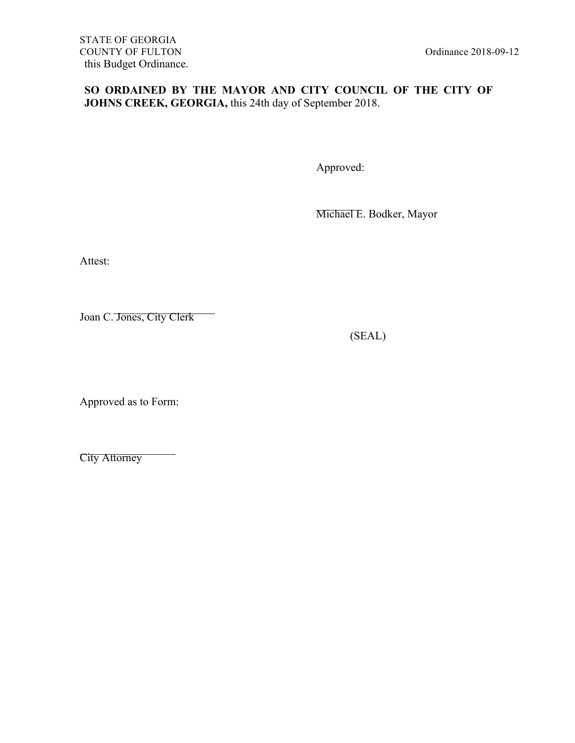### **SO ORDAINED BY THE MAYOR AND CITY COUNCIL OF THE CITY OF JOHNS CREEK, GEORGIA,** this 24th day of September 2018.

Approved:

 $\frac{1}{2}$ Michael E. Bodker, Mayor

Attest:

Joan C. Jones, City Clerk

(SEAL)

Approved as to Form:

 $\sim$ City Attorney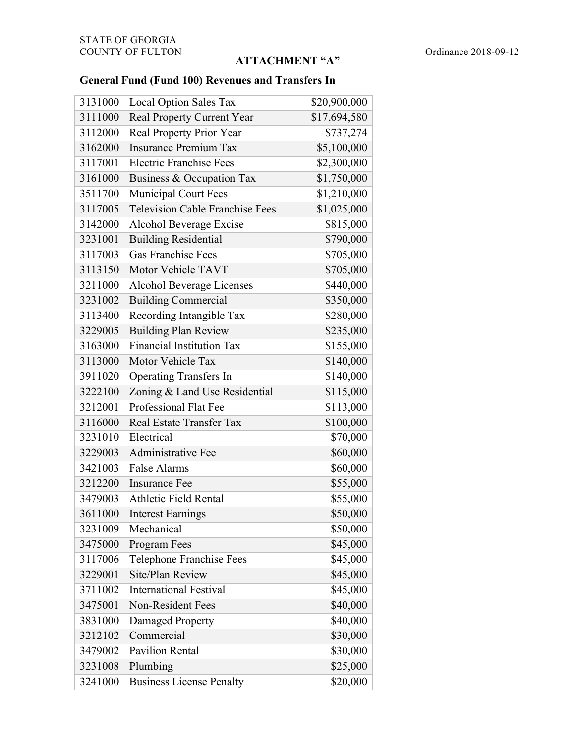### **ATTACHMENT "A"**

## **General Fund (Fund 100) Revenues and Transfers In**

| 3131000 | <b>Local Option Sales Tax</b>          | \$20,900,000 |
|---------|----------------------------------------|--------------|
| 3111000 | Real Property Current Year             | \$17,694,580 |
| 3112000 | Real Property Prior Year               | \$737,274    |
| 3162000 | <b>Insurance Premium Tax</b>           | \$5,100,000  |
| 3117001 | <b>Electric Franchise Fees</b>         | \$2,300,000  |
| 3161000 | Business & Occupation Tax              | \$1,750,000  |
| 3511700 | Municipal Court Fees                   | \$1,210,000  |
| 3117005 | <b>Television Cable Franchise Fees</b> | \$1,025,000  |
| 3142000 | Alcohol Beverage Excise                | \$815,000    |
| 3231001 | <b>Building Residential</b>            | \$790,000    |
| 3117003 | <b>Gas Franchise Fees</b>              | \$705,000    |
| 3113150 | Motor Vehicle TAVT                     | \$705,000    |
| 3211000 | Alcohol Beverage Licenses              | \$440,000    |
| 3231002 | <b>Building Commercial</b>             | \$350,000    |
| 3113400 | Recording Intangible Tax               | \$280,000    |
| 3229005 | <b>Building Plan Review</b>            | \$235,000    |
| 3163000 | <b>Financial Institution Tax</b>       | \$155,000    |
| 3113000 | Motor Vehicle Tax                      | \$140,000    |
| 3911020 | <b>Operating Transfers In</b>          | \$140,000    |
| 3222100 | Zoning & Land Use Residential          | \$115,000    |
| 3212001 | Professional Flat Fee                  | \$113,000    |
| 3116000 | Real Estate Transfer Tax               | \$100,000    |
| 3231010 | Electrical                             | \$70,000     |
| 3229003 | Administrative Fee                     | \$60,000     |
| 3421003 | <b>False Alarms</b>                    | \$60,000     |
| 3212200 | <b>Insurance Fee</b>                   | \$55,000     |
| 3479003 | <b>Athletic Field Rental</b>           | \$55,000     |
| 3611000 | <b>Interest Earnings</b>               | \$50,000     |
| 3231009 | Mechanical                             | \$50,000     |
| 3475000 | Program Fees                           | \$45,000     |
| 3117006 | Telephone Franchise Fees               | \$45,000     |
| 3229001 | Site/Plan Review                       | \$45,000     |
| 3711002 | <b>International Festival</b>          | \$45,000     |
| 3475001 | <b>Non-Resident Fees</b>               | \$40,000     |
| 3831000 | Damaged Property                       | \$40,000     |
| 3212102 | Commercial                             | \$30,000     |
| 3479002 | <b>Pavilion Rental</b>                 | \$30,000     |
| 3231008 | Plumbing                               | \$25,000     |
| 3241000 | <b>Business License Penalty</b>        | \$20,000     |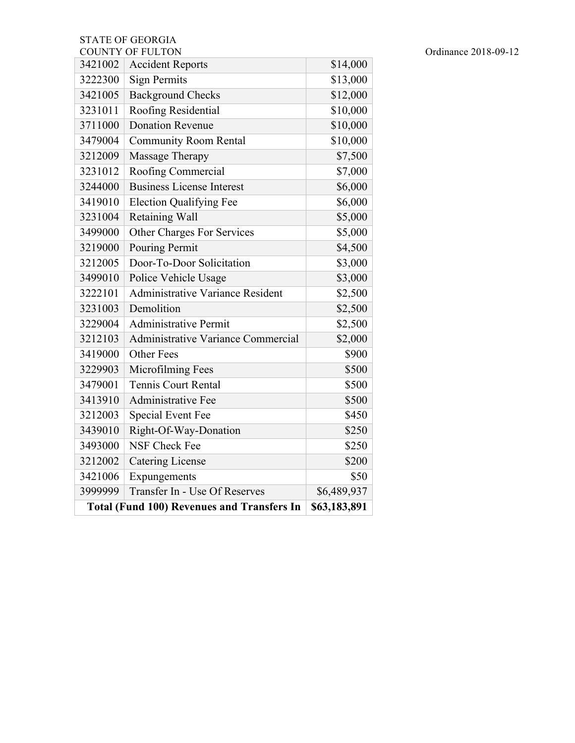# STATE OF GEORGIA<br>COUNTY OF FULTON

| 3212103 | Administrative Variance Commercial          | \$2,000  |
|---------|---------------------------------------------|----------|
| 3229004 | Administrative Permit                       | \$2,500  |
|         |                                             |          |
| 3231003 | Demolition                                  | \$2,500  |
| 3222101 | <b>Administrative Variance Resident</b>     | \$2,500  |
| 3499010 | Police Vehicle Usage                        | \$3,000  |
|         |                                             |          |
| 3212005 | Door-To-Door Solicitation                   | \$3,000  |
|         |                                             |          |
| 3219000 | Pouring Permit                              | \$4,500  |
|         |                                             |          |
|         |                                             |          |
|         |                                             |          |
| 3499000 | Other Charges For Services                  | \$5,000  |
|         |                                             |          |
| 3231004 | Retaining Wall                              | \$5,000  |
|         |                                             |          |
| 3419010 | <b>Election Qualifying Fee</b>              | \$6,000  |
|         |                                             |          |
| 3244000 | <b>Business License Interest</b>            | \$6,000  |
| 3231012 | Roofing Commercial                          | \$7,000  |
| 3212009 | Massage Therapy                             | \$7,500  |
|         |                                             |          |
| 3479004 | <b>Community Room Rental</b>                | \$10,000 |
| 3711000 | <b>Donation Revenue</b>                     | \$10,000 |
| 3231011 | Roofing Residential                         | \$10,000 |
| 3421005 | <b>Background Checks</b>                    | \$12,000 |
|         |                                             |          |
| 3222300 | <b>Sign Permits</b>                         | \$13,000 |
| 3421002 | COUNTT OF FULTON<br><b>Accident Reports</b> | \$14,000 |
|         |                                             |          |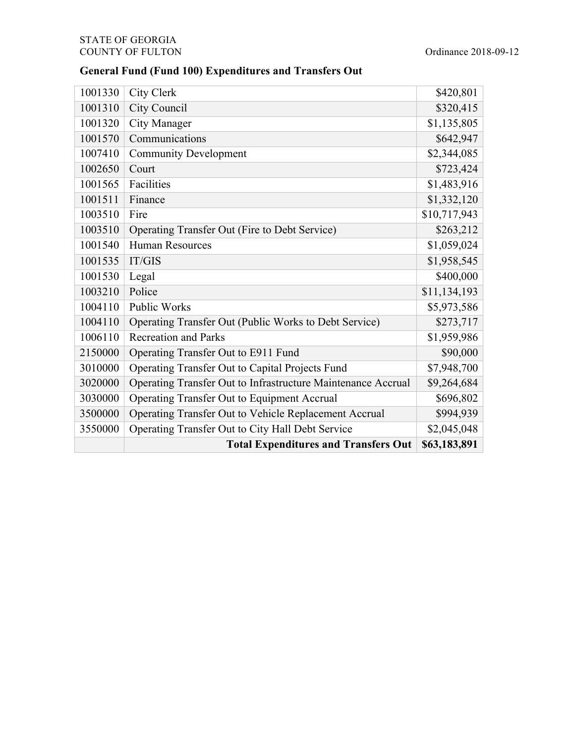### STATE OF GEORGIA COUNTY OF FULTON Ordinance 2018-09-12

## **General Fund (Fund 100) Expenditures and Transfers Out**

| 1001330 | City Clerk                                                   | \$420,801    |
|---------|--------------------------------------------------------------|--------------|
| 1001310 | City Council                                                 | \$320,415    |
| 1001320 | <b>City Manager</b>                                          | \$1,135,805  |
| 1001570 | Communications                                               | \$642,947    |
| 1007410 | <b>Community Development</b>                                 | \$2,344,085  |
| 1002650 | Court                                                        | \$723,424    |
| 1001565 | Facilities                                                   | \$1,483,916  |
| 1001511 | Finance                                                      | \$1,332,120  |
| 1003510 | Fire                                                         | \$10,717,943 |
| 1003510 | Operating Transfer Out (Fire to Debt Service)                | \$263,212    |
| 1001540 | <b>Human Resources</b>                                       | \$1,059,024  |
| 1001535 | IT/GIS                                                       | \$1,958,545  |
| 1001530 | Legal                                                        | \$400,000    |
| 1003210 | Police                                                       | \$11,134,193 |
| 1004110 | <b>Public Works</b>                                          | \$5,973,586  |
| 1004110 | Operating Transfer Out (Public Works to Debt Service)        | \$273,717    |
| 1006110 | <b>Recreation and Parks</b>                                  | \$1,959,986  |
| 2150000 | Operating Transfer Out to E911 Fund                          | \$90,000     |
| 3010000 | Operating Transfer Out to Capital Projects Fund              | \$7,948,700  |
| 3020000 | Operating Transfer Out to Infrastructure Maintenance Accrual | \$9,264,684  |
| 3030000 | Operating Transfer Out to Equipment Accrual                  | \$696,802    |
| 3500000 | Operating Transfer Out to Vehicle Replacement Accrual        | \$994,939    |
| 3550000 | Operating Transfer Out to City Hall Debt Service             | \$2,045,048  |
|         | <b>Total Expenditures and Transfers Out</b>                  | \$63,183,891 |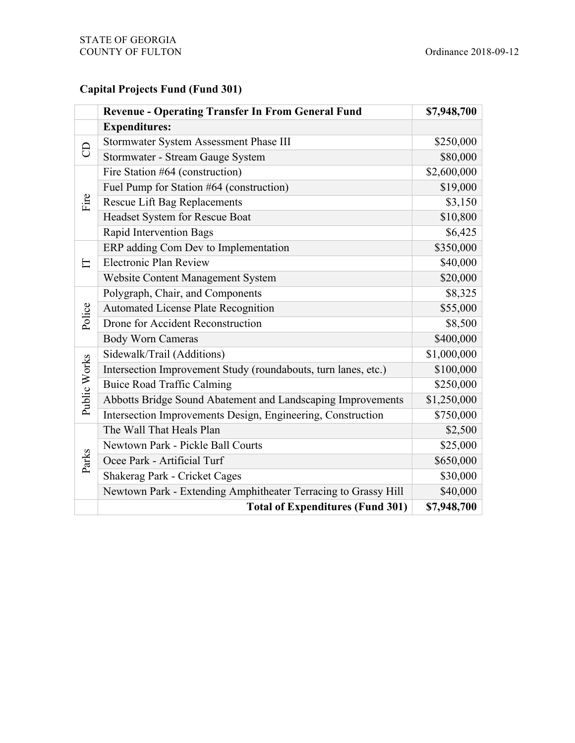## **Capital Projects Fund (Fund 301)**

|              | <b>Revenue - Operating Transfer In From General Fund</b>       | \$7,948,700 |
|--------------|----------------------------------------------------------------|-------------|
|              | <b>Expenditures:</b>                                           |             |
|              | Stormwater System Assessment Phase III                         | \$250,000   |
| සි           | Stormwater - Stream Gauge System                               | \$80,000    |
|              | Fire Station #64 (construction)                                | \$2,600,000 |
| Fire         | Fuel Pump for Station #64 (construction)                       | \$19,000    |
|              | <b>Rescue Lift Bag Replacements</b>                            | \$3,150     |
|              | Headset System for Rescue Boat                                 | \$10,800    |
|              | Rapid Intervention Bags                                        | \$6,425     |
|              | ERP adding Com Dev to Implementation                           | \$350,000   |
| 日            | <b>Electronic Plan Review</b>                                  | \$40,000    |
|              | <b>Website Content Management System</b>                       | \$20,000    |
|              | Polygraph, Chair, and Components                               | \$8,325     |
| Police       | Automated License Plate Recognition                            | \$55,000    |
|              | Drone for Accident Reconstruction                              | \$8,500     |
|              | <b>Body Worn Cameras</b>                                       | \$400,000   |
|              | Sidewalk/Trail (Additions)                                     | \$1,000,000 |
| Public Works | Intersection Improvement Study (roundabouts, turn lanes, etc.) | \$100,000   |
|              | <b>Buice Road Traffic Calming</b>                              | \$250,000   |
|              | Abbotts Bridge Sound Abatement and Landscaping Improvements    | \$1,250,000 |
|              | Intersection Improvements Design, Engineering, Construction    | \$750,000   |
|              | The Wall That Heals Plan                                       | \$2,500     |
|              | Newtown Park - Pickle Ball Courts                              | \$25,000    |
| Parks        | Ocee Park - Artificial Turf                                    | \$650,000   |
|              | Shakerag Park - Cricket Cages                                  | \$30,000    |
|              | Newtown Park - Extending Amphitheater Terracing to Grassy Hill | \$40,000    |
|              | <b>Total of Expenditures (Fund 301)</b>                        | \$7,948,700 |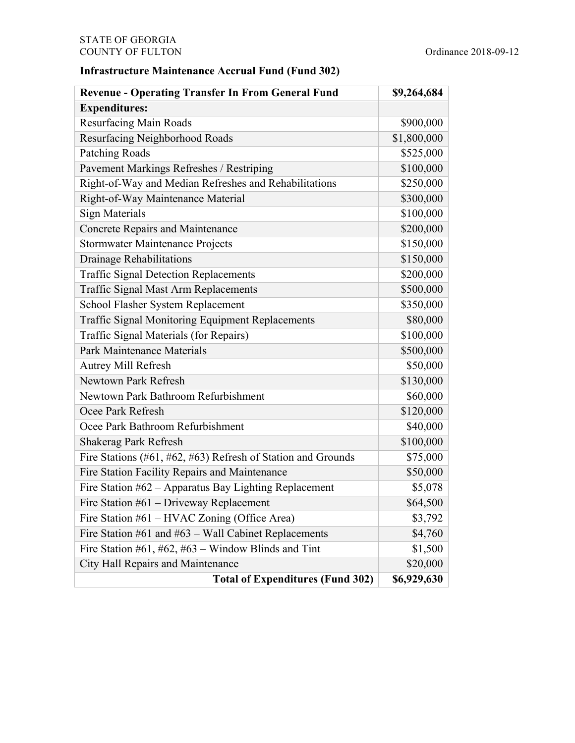### STATE OF GEORGIA COUNTY OF FULTON Ordinance 2018-09-12

## **Infrastructure Maintenance Accrual Fund (Fund 302)**

| <b>Revenue - Operating Transfer In From General Fund</b>     | \$9,264,684 |
|--------------------------------------------------------------|-------------|
| <b>Expenditures:</b>                                         |             |
| <b>Resurfacing Main Roads</b>                                | \$900,000   |
| Resurfacing Neighborhood Roads                               | \$1,800,000 |
| <b>Patching Roads</b>                                        | \$525,000   |
| Pavement Markings Refreshes / Restriping                     | \$100,000   |
| Right-of-Way and Median Refreshes and Rehabilitations        | \$250,000   |
| Right-of-Way Maintenance Material                            | \$300,000   |
| Sign Materials                                               | \$100,000   |
| <b>Concrete Repairs and Maintenance</b>                      | \$200,000   |
| Stormwater Maintenance Projects                              | \$150,000   |
| <b>Drainage Rehabilitations</b>                              | \$150,000   |
| <b>Traffic Signal Detection Replacements</b>                 | \$200,000   |
| <b>Traffic Signal Mast Arm Replacements</b>                  | \$500,000   |
| School Flasher System Replacement                            | \$350,000   |
| Traffic Signal Monitoring Equipment Replacements             | \$80,000    |
| Traffic Signal Materials (for Repairs)                       | \$100,000   |
| Park Maintenance Materials                                   | \$500,000   |
| <b>Autrey Mill Refresh</b>                                   | \$50,000    |
| Newtown Park Refresh                                         | \$130,000   |
| Newtown Park Bathroom Refurbishment                          | \$60,000    |
| Ocee Park Refresh                                            | \$120,000   |
| Ocee Park Bathroom Refurbishment                             | \$40,000    |
| <b>Shakerag Park Refresh</b>                                 | \$100,000   |
| Fire Stations (#61, #62, #63) Refresh of Station and Grounds | \$75,000    |
| Fire Station Facility Repairs and Maintenance                | \$50,000    |
| Fire Station #62 - Apparatus Bay Lighting Replacement        | \$5,078     |
| Fire Station #61 - Driveway Replacement                      | \$64,500    |
| Fire Station #61 – HVAC Zoning (Office Area)                 | \$3,792     |
| Fire Station #61 and #63 – Wall Cabinet Replacements         | \$4,760     |
| Fire Station #61, #62, #63 – Window Blinds and Tint          | \$1,500     |
| City Hall Repairs and Maintenance                            | \$20,000    |
| <b>Total of Expenditures (Fund 302)</b>                      | \$6,929,630 |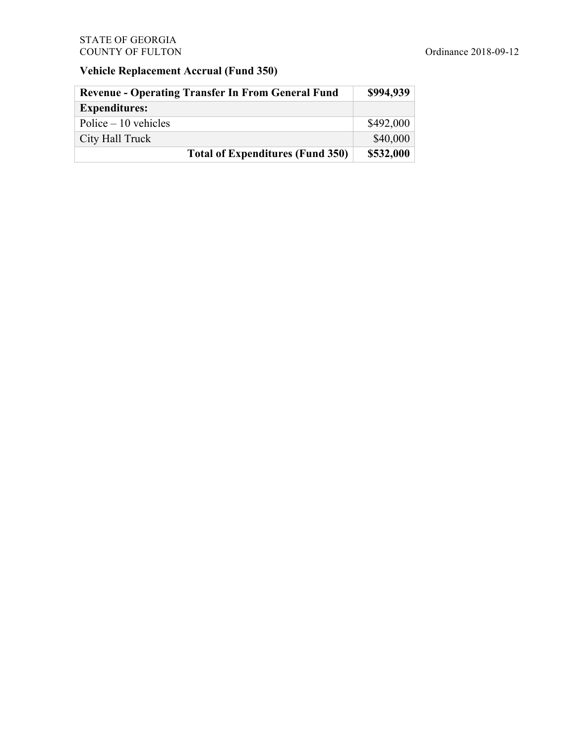## **Vehicle Replacement Accrual (Fund 350)**

| <b>Revenue - Operating Transfer In From General Fund</b> | \$994,939 |
|----------------------------------------------------------|-----------|
| <b>Expenditures:</b>                                     |           |
| Police $-10$ vehicles                                    | \$492,000 |
| City Hall Truck                                          | \$40,000  |
| <b>Total of Expenditures (Fund 350)</b>                  | \$532,000 |